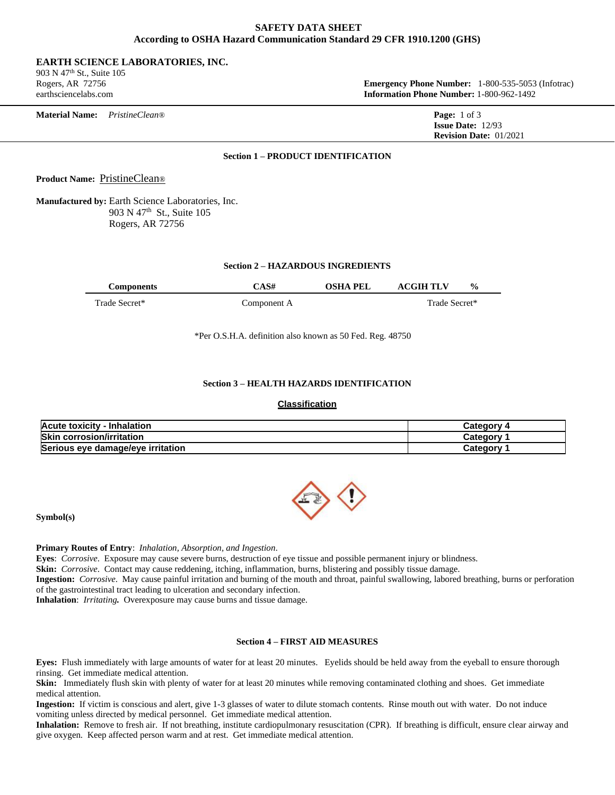# **SAFETY DATA SHEET According to OSHA Hazard Communication Standard 29 CFR 1910.1200 (GHS)**

## **EARTH SCIENCE LABORATORIES, INC.**

903 N 47th St., Suite 105

Rogers, AR 72756 **Emergency Phone Number:** 1-800-535-5053 (Infotrac) earthsciencelabs.com **Information Phone Number:** 1-800-962-1492

| <b>Material Name:</b> | <i>PristineClean®</i> | <b>Page:</b> $1 \text{ of } 3$  |
|-----------------------|-----------------------|---------------------------------|
|                       |                       | <b>Issue Date:</b> $12/93$      |
|                       |                       | <b>Revision Date:</b> $01/2021$ |

# **Section 1 – PRODUCT IDENTIFICATION**

**Product Name:** PristineClean®

**Manufactured by:** Earth Science Laboratories, Inc. 903 N 47<sup>th</sup> St., Suite 105 Rogers, AR 72756

## **Section 2 – HAZARDOUS INGREDIENTS**

| :omponents    | . 64<br>4.5# | ∩SH∧<br>DEI | CCIH TI V<br>$\frac{0}{0}$ |  |
|---------------|--------------|-------------|----------------------------|--|
| Trade Secret* | Component A  |             | Trade<br>. Secret*         |  |

\*Per O.S.H.A. definition also known as 50 Fed. Reg. 48750

# **Section 3 – HEALTH HAZARDS IDENTIFICATION**

# **Classification**

| <b>Acute toxicity - Inhalation</b> | <b>Category 4</b>     |
|------------------------------------|-----------------------|
| <b>Skin corrosion/irritation</b>   | Category <sup>.</sup> |
| Serious eye damage/eye irritation  | Category              |



**Symbol(s)** 

**Primary Routes of Entry**: *Inhalation, Absorption, and Ingestion.*

**Eyes**: *Corrosive*. Exposure may cause severe burns, destruction of eye tissue and possible permanent injury or blindness.

**Skin:** *Corrosive*. Contact may cause reddening, itching, inflammation, burns, blistering and possibly tissue damage.

**Ingestion:** *Corrosive*. May cause painful irritation and burning of the mouth and throat, painful swallowing, labored breathing, burns or perforation of the gastrointestinal tract leading to ulceration and secondary infection.

**Inhalation**: *Irritating.* Overexposure may cause burns and tissue damage.

# **Section 4 – FIRST AID MEASURES**

**Eyes:** Flush immediately with large amounts of water for at least 20 minutes. Eyelids should be held away from the eyeball to ensure thorough rinsing. Get immediate medical attention.

**Skin:** Immediately flush skin with plenty of water for at least 20 minutes while removing contaminated clothing and shoes. Get immediate medical attention.

**Ingestion:** If victim is conscious and alert, give 1-3 glasses of water to dilute stomach contents. Rinse mouth out with water. Do not induce vomiting unless directed by medical personnel. Get immediate medical attention.

**Inhalation:** Remove to fresh air. If not breathing, institute cardiopulmonary resuscitation (CPR). If breathing is difficult, ensure clear airway and give oxygen. Keep affected person warm and at rest. Get immediate medical attention.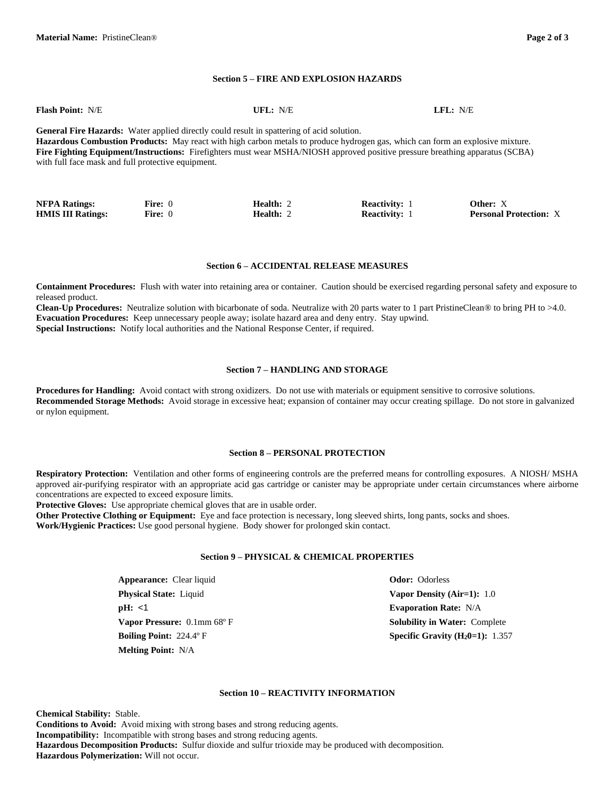#### **Section 5 – FIRE AND EXPLOSION HAZARDS**

| <b>Flash Point: N/E</b>                            | UFL: N/E                                                                                                                             | LFL: N/E |
|----------------------------------------------------|--------------------------------------------------------------------------------------------------------------------------------------|----------|
|                                                    | <b>General Fire Hazards:</b> Water applied directly could result in spattering of acid solution.                                     |          |
|                                                    | Hazardous Combustion Products: May react with high carbon metals to produce hydrogen gas, which can form an explosive mixture.       |          |
|                                                    | <b>Fire Fighting Equipment/Instructions:</b> Firefighters must wear MSHA/NIOSH approved positive pressure breathing apparatus (SCBA) |          |
| with full face mask and full protective equipment. |                                                                                                                                      |          |
|                                                    |                                                                                                                                      |          |
|                                                    |                                                                                                                                      |          |

| <b>NFPA Ratings:</b>     | Fire: 0 | <b>Health:</b> 2  | <b>Reactivity:</b> | Other: X                      |
|--------------------------|---------|-------------------|--------------------|-------------------------------|
| <b>HMIS III Ratings:</b> | Fire: 0 | Health: $\hat{ }$ | <b>Reactivity:</b> | <b>Personal Protection:</b> X |

#### **Section 6 – ACCIDENTAL RELEASE MEASURES**

**Containment Procedures:** Flush with water into retaining area or container. Caution should be exercised regarding personal safety and exposure to released product.

**Clean-Up Procedures:** Neutralize solution with bicarbonate of soda. Neutralize with 20 parts water to 1 part PristineClean® to bring PH to >4.0. **Evacuation Procedures:** Keep unnecessary people away; isolate hazard area and deny entry. Stay upwind. **Special Instructions:** Notify local authorities and the National Response Center, if required.

### **Section 7 – HANDLING AND STORAGE**

**Procedures for Handling:** Avoid contact with strong oxidizers. Do not use with materials or equipment sensitive to corrosive solutions. **Recommended Storage Methods:** Avoid storage in excessive heat; expansion of container may occur creating spillage. Do not store in galvanized or nylon equipment.

#### **Section 8 – PERSONAL PROTECTION**

**Respiratory Protection:** Ventilation and other forms of engineering controls are the preferred means for controlling exposures. A NIOSH/ MSHA approved air-purifying respirator with an appropriate acid gas cartridge or canister may be appropriate under certain circumstances where airborne concentrations are expected to exceed exposure limits.

**Protective Gloves:** Use appropriate chemical gloves that are in usable order.

**Other Protective Clothing or Equipment:** Eye and face protection is necessary, long sleeved shirts, long pants, socks and shoes. **Work/Hygienic Practices:** Use good personal hygiene. Body shower for prolonged skin contact.

## **Section 9 – PHYSICAL & CHEMICAL PROPERTIES**

**Appearance:** Clear liquid **Odor:** Odorless **Physical State:** Liquid **Vapor Density (Air=1):** 1.0 **pH:** <1 **Evaporation Rate:** N/A **Melting Point:** N/A

**Vapor Pressure:** 0.1mm 68° F **Solubility in Water:** Complete **Boiling Point:** 224.4º F **Specific Gravity (H20=1):** 1.357

#### **Section 10 – REACTIVITY INFORMATION**

**Chemical Stability:** Stable. **Conditions to Avoid:** Avoid mixing with strong bases and strong reducing agents. **Incompatibility:** Incompatible with strong bases and strong reducing agents. **Hazardous Decomposition Products:** Sulfur dioxide and sulfur trioxide may be produced with decomposition. **Hazardous Polymerization:** Will not occur.